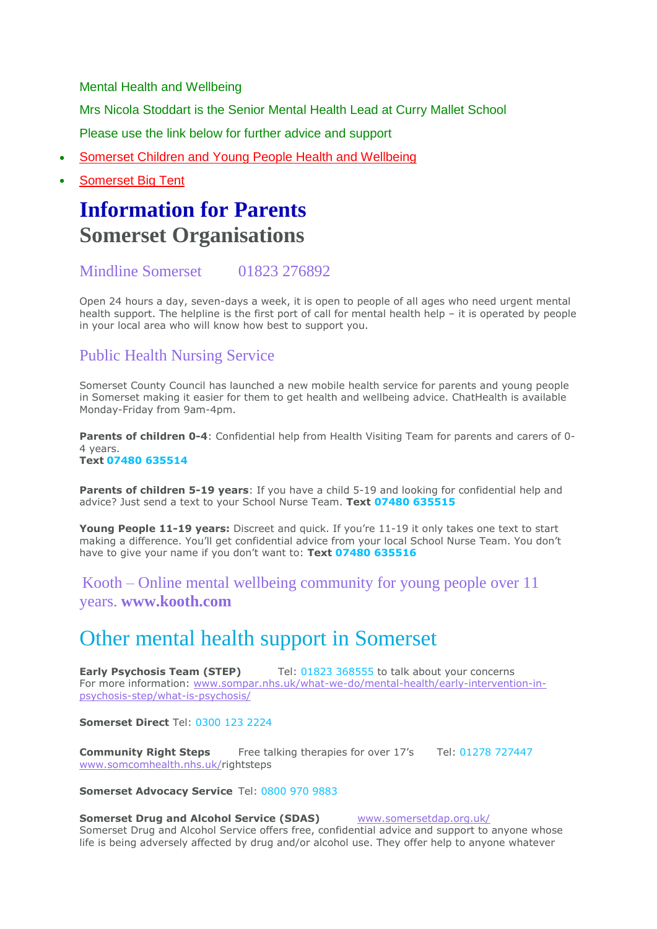Mental Health and Wellbeing

Mrs Nicola Stoddart is the Senior Mental Health Lead at Curry Mallet School

Please use the link below for further advice and support

- Somerset Children and Young People Health and [Wellbeing](https://www.cypsomersethealth.org/)
- [Somerset](https://www.somersetbigtent.org.uk/) Big Tent

# **Information for Parents Somerset Organisations**

# Mindline Somerset 01823 276892

Open 24 hours a day, seven-days a week, it is open to people of all ages who need urgent mental health support. The helpline is the first port of call for mental health help – it is operated by people in your local area who will know how best to support you.

# Public Health Nursing Service

Somerset County Council has launched a new mobile health service for parents and young people in Somerset making it easier for them to get health and wellbeing advice. ChatHealth is available Monday-Friday from 9am-4pm.

**Parents of children 0-4**: Confidential help from Health Visiting Team for parents and carers of 0- 4 years. **Text 07480 635514**

**Parents of children 5-19 years**: If you have a child 5-19 and looking for confidential help and advice? Just send a text to your School Nurse Team. **Text 07480 635515**

**Young People 11-19 years:** Discreet and quick. If you're 11-19 it only takes one text to start making a difference. You'll get confidential advice from your local School Nurse Team. You don't have to give your name if you don't want to: **Text 07480 635516**

Kooth – Online mental wellbeing community for young people over 11 years. **[www.kooth.com](http://www.kooth.com/)**

# Other mental health support in Somerset

**Early Psychosis Team (STEP)** Tel: 01823 368555 to talk about your concerns For more information: [www.sompar.nhs.uk/what-we-do/mental-health/early-intervention-in](http://www.sompar.nhs.uk/what-we-do/mental-health/early-intervention-in-psychosis-step/what-is-psychosis/)[psychosis-step/what-is-psychosis/](http://www.sompar.nhs.uk/what-we-do/mental-health/early-intervention-in-psychosis-step/what-is-psychosis/)

**Somerset Direct** Tel: 0300 123 2224

**Community Right Steps** Free talking therapies for over 17's Tel: 01278 727447 [www.somcomhealth.nhs.uk/r](http://www.somcomhealth.nhs.uk/)ightsteps

# **Somerset Advocacy Service** Tel: 0800 970 9883

## **Somerset Drug and Alcohol Service (SDAS)** [www.somersetdap.org.uk/](http://www.somersetdap.org.uk/)

Somerset Drug and Alcohol Service offers free, confidential advice and support to anyone whose life is being adversely affected by drug and/or alcohol use. They offer help to anyone whatever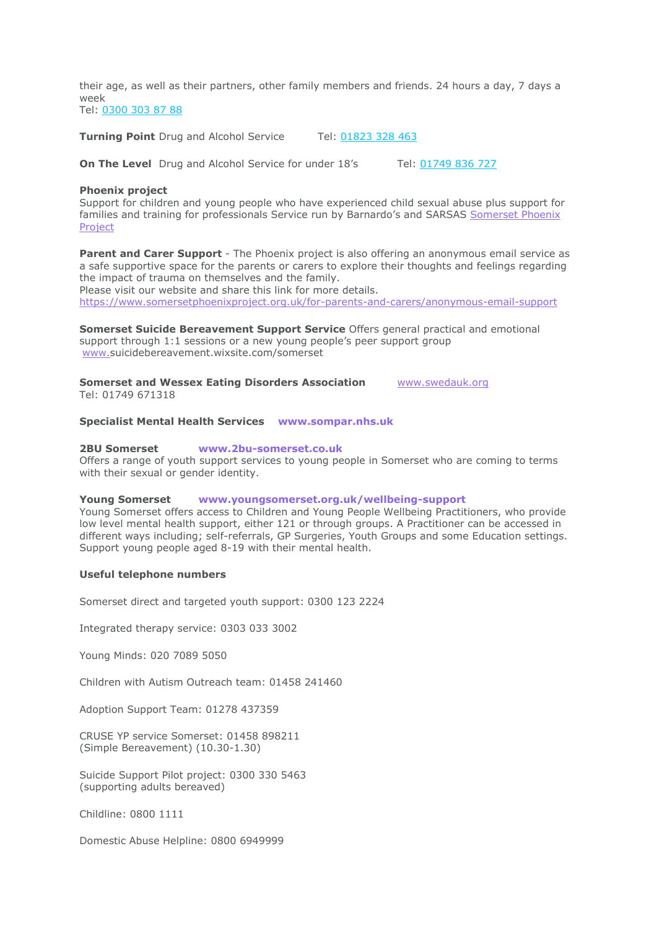their age, as well as their partners, other family members and friends. 24 hours a day, 7 days a week Tel: 0300 303 87 88

**Turning Point** Drug and Alcohol Service Tel: 01823 328 463

**On The Level** Drug and Alcohol Service for under 18's Tel: 01749 836 727

### **Phoenix project**

Support for children and young people who have experienced child sexual abuse plus support for families and training for professionals Service run by Barnardo's and SARSAS [Somerset](https://www.somersetphoenixproject.org.uk/) Phoenix [Project](https://www.somersetphoenixproject.org.uk/)

**Parent and Carer Support** - The Phoenix project is also offering an anonymous email service as a safe supportive space for the parents or carers to explore their thoughts and feelings regarding the impact of trauma on themselves and the family. Please visit our website and share this link for more details.

<https://www.somersetphoenixproject.org.uk/for-parents-and-carers/anonymous-email-support>

**Somerset Suicide Bereavement Support Service** Offers general practical and emotional support through 1:1 sessions or a new young people's peer support group [www.s](http://www.suicidebereavement.wixsite.com/somerset)uicidebereavement.wixsite.com/somerset

**Somerset and Wessex Eating Disorders Association** [www.swedauk.org](http://www.swedauk.org/) Tel: 01749 671318

## **Specialist Mental Health Services [www.sompar.nhs.uk](http://www.sompar.nhs.uk/)**

#### **2BU Somerset [www.2bu-somerset.co.uk](http://www.2bu-somerset.co.uk/)**

Offers a range of youth support services to young people in Somerset who are coming to terms with their sexual or gender identity.

#### **Young Somerset [www.youngsomerset.org.uk/wellbeing-support](http://www.youngsomerset.org.uk/wellbeing-support)**

Young Somerset offers access to Children and Young People Wellbeing Practitioners, who provide low level mental health support, either 121 or through groups. A Practitioner can be accessed in different ways including; self-referrals, GP Surgeries, Youth Groups and some Education settings. Support young people aged 8-19 with their mental health.

#### **Useful telephone numbers**

Somerset direct and targeted youth support: 0300 123 2224

Integrated therapy service: 0303 033 3002

Young Minds: 020 7089 5050

Children with Autism Outreach team: 01458 241460

Adoption Support Team: 01278 437359

CRUSE YP service Somerset: 01458 898211 (Simple Bereavement) (10.30-1.30)

Suicide Support Pilot project: 0300 330 5463 (supporting adults bereaved)

Childline: 0800 1111

Domestic Abuse Helpline: 0800 6949999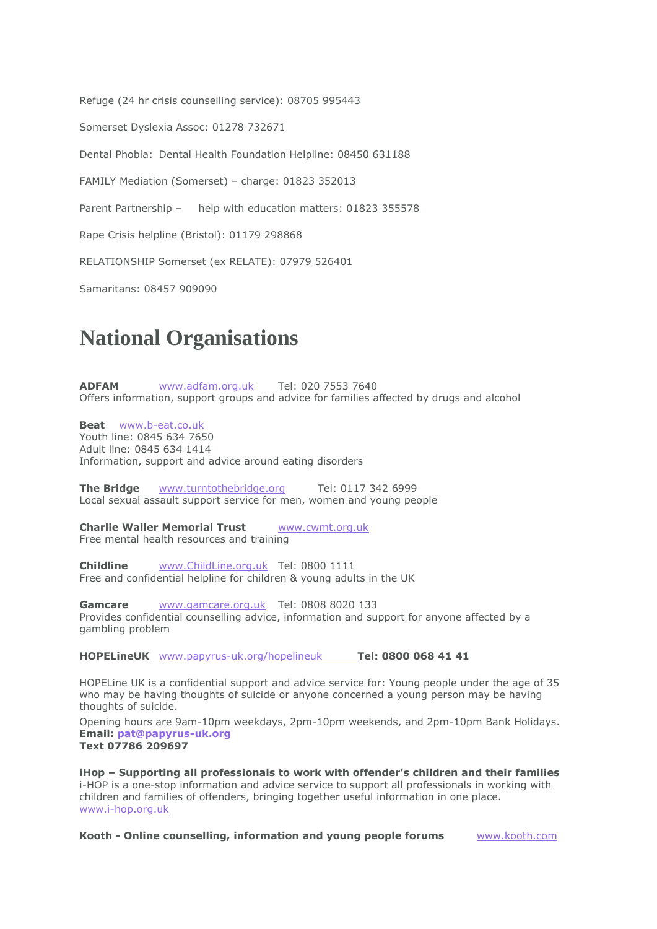Refuge (24 hr crisis counselling service): 08705 995443 Somerset Dyslexia Assoc: 01278 732671 Dental Phobia: Dental Health Foundation Helpline: 08450 631188 FAMILY Mediation (Somerset) – charge: 01823 352013 Parent Partnership – help with education matters: 01823 355578 Rape Crisis helpline (Bristol): 01179 298868 RELATIONSHIP Somerset (ex RELATE): 07979 526401

Samaritans: 08457 909090

# **National Organisations**

**ADFAM** [www.adfam.org.uk](http://www.adfam.org.uk/) Tel: 020 7553 7640 Offers information, support groups and advice for families affected by drugs and alcohol

**Beat** [www.b-eat.co.uk](http://www.b-eat.co.uk/)

Youth line: 0845 634 7650 Adult line: 0845 634 1414 Information, support and advice around eating disorders

**The Bridge [www.turntothebridge.org](http://www.turntothebridge.org/)** Tel: 0117 342 6999 Local sexual assault support service for men, women and young people

**Charlie Waller Memorial Trust** [www.cwmt.org.uk](http://www.cwmt.org/) Free mental health resources and training

**Childline** [www.ChildLine.org.uk](http://www.childline.org.uk/) Tel: 0800 1111 Free and confidential helpline for children & young adults in the UK

Gamcare [www.gamcare.org.uk](http://www.gamcare.org.uk/) Tel: 0808 8020 133 Provides confidential counselling advice, information and support for anyone affected by a gambling problem

**HOPELineUK** [www.papyrus-uk.org/hopelineuk](http://www.papyrus-uk.org/hopelineuk) **Tel: 0800 068 41 41**

HOPELine UK is a confidential support and advice service for: Young people under the age of 35 who may be having thoughts of suicide or anyone concerned a young person may be having thoughts of suicide.

Opening hours are 9am-10pm weekdays, 2pm-10pm weekends, and 2pm-10pm Bank Holidays. **Email: [pat@papyrus-uk.org](mailto:pat@papyrus-uk.org) Text 07786 209697**

**iHop – Supporting all professionals to work with offender's children and their families** i-HOP is a one-stop information and advice service to support all professionals in working with children and families of offenders, bringing together useful information in one place. [www.i-hop.org.uk](http://www.i-hop.org.uk/)

**Kooth - Online counselling, information and young people forums** [www.kooth.com](http://www.kooth.com/)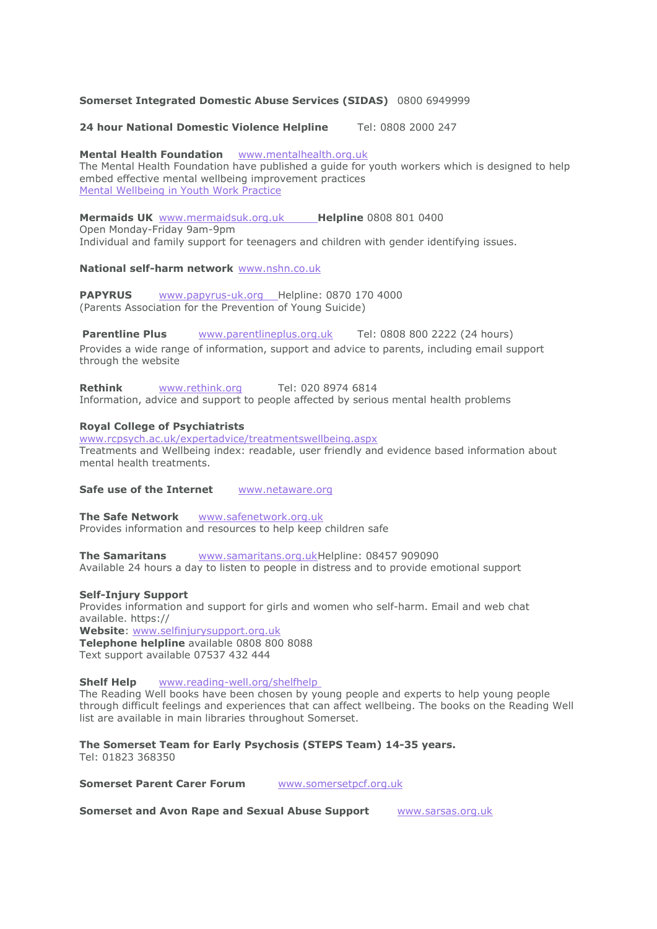### **Somerset Integrated Domestic Abuse Services (SIDAS)** 0800 6949999

**24 hour National Domestic Violence Helpline** Tel: 0808 2000 247

**Mental Health Foundation** [www.mentalhealth.org.uk](http://www.mentalhealth.org.uk/) The Mental Health Foundation have published a guide for youth workers which is designed to help embed effective mental wellbeing improvement practices Mental [Wellbeing](http://www.mentalhealth.org.uk/publications/mental-wellbeing-in-youth-work-practice/) in Youth Work Practice

**Mermaids UK** [www.mermaidsuk.org.uk](http://www.mermaidsuk.org.uk/) **Helpline** 0808 801 0400 Open Monday-Friday 9am-9pm Individual and family support for teenagers and children with gender identifying issues.

**National self-harm network** [www.nshn.co.uk](http://www.nshn.co.uk/)

**PAPYRUS** [www.papyrus-uk.org](http://www.papyrus-uk.org/) Helpline: 0870 170 4000 (Parents Association for the Prevention of Young Suicide)

**Parentline Plus** [www.parentlineplus.org.uk](http://www.parentlineplus.org.uk/) Tel: 0808 800 2222 (24 hours) Provides a wide range of information, support and advice to parents, including email support through the website

**Rethink** [www.rethink.org](http://www.rethink.org/) Tel: 020 8974 6814 Information, advice and support to people affected by serious mental health problems

#### **Royal College of Psychiatrists**

[www.rcpsych.ac.uk/expertadvice/treatmentswellbeing.aspx](http://www.rcpsych.ac.uk/expertadvice/treatmentswellbeing.aspx) Treatments and Wellbeing index: readable, user friendly and evidence based information about mental health treatments.

**Safe use of the Internet** [www.netaware.org](http://www.netaware.org/)

**The Safe Network** [www.safenetwork.org.uk](http://www.safenetwork.org.uk/) Provides information and resources to help keep children safe

**The Samaritans** [www.samaritans.org.ukH](http://www.samaritans.org.uk/)elpline: 08457 909090 Available 24 hours a day to listen to people in distress and to provide emotional support

#### **Self-Injury Support**

Provides information and support for girls and women who self-harm. Email and web chat available. https:// **Website**: [www.selfinjurysupport.org.uk](http://www.selfinjurysupport.org.uk/) **Telephone helpline** available 0808 800 8088

Text support available 07537 432 444

**Shelf Help** [www.reading-well.org/shelfhelp](http://www.reading-well.org/shelfhelp)

The Reading Well books have been chosen by young people and experts to help young people through difficult feelings and experiences that can affect wellbeing. The books on the Reading Well list are available in main libraries throughout Somerset.

**The Somerset Team for Early Psychosis (STEPS Team) 14-35 years.** Tel: 01823 368350

**Somerset Parent Carer Forum** [www.somersetpcf.org.uk](http://www.somersetpcf.org.uk/)

**Somerset and Avon Rape and Sexual Abuse Support** [www.sarsas.org.uk](http://www.sarsas.org.uk/)